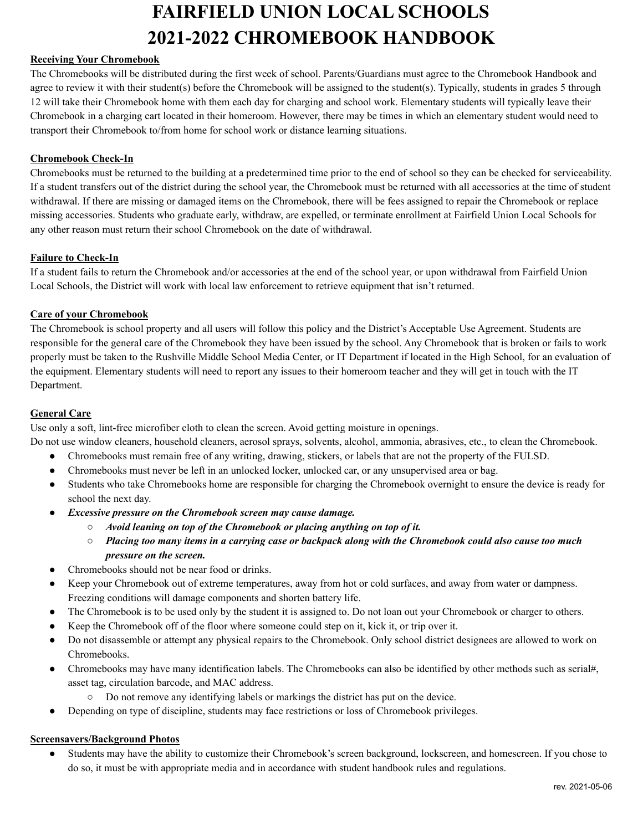# **FAIRFIELD UNION LOCAL SCHOOLS 2021-2022 CHROMEBOOK HANDBOOK**

# **Receiving Your Chromebook**

The Chromebooks will be distributed during the first week of school. Parents/Guardians must agree to the Chromebook Handbook and agree to review it with their student(s) before the Chromebook will be assigned to the student(s). Typically, students in grades 5 through 12 will take their Chromebook home with them each day for charging and school work. Elementary students will typically leave their Chromebook in a charging cart located in their homeroom. However, there may be times in which an elementary student would need to transport their Chromebook to/from home for school work or distance learning situations.

# **Chromebook Check-In**

Chromebooks must be returned to the building at a predetermined time prior to the end of school so they can be checked for serviceability. If a student transfers out of the district during the school year, the Chromebook must be returned with all accessories at the time of student withdrawal. If there are missing or damaged items on the Chromebook, there will be fees assigned to repair the Chromebook or replace missing accessories. Students who graduate early, withdraw, are expelled, or terminate enrollment at Fairfield Union Local Schools for any other reason must return their school Chromebook on the date of withdrawal.

# **Failure to Check-In**

If a student fails to return the Chromebook and/or accessories at the end of the school year, or upon withdrawal from Fairfield Union Local Schools, the District will work with local law enforcement to retrieve equipment that isn't returned.

# **Care of your Chromebook**

The Chromebook is school property and all users will follow this policy and the District's Acceptable Use Agreement. Students are responsible for the general care of the Chromebook they have been issued by the school. Any Chromebook that is broken or fails to work properly must be taken to the Rushville Middle School Media Center, or IT Department if located in the High School, for an evaluation of the equipment. Elementary students will need to report any issues to their homeroom teacher and they will get in touch with the IT Department.

#### **General Care**

Use only a soft, lint-free microfiber cloth to clean the screen. Avoid getting moisture in openings.

Do not use window cleaners, household cleaners, aerosol sprays, solvents, alcohol, ammonia, abrasives, etc., to clean the Chromebook.

- Chromebooks must remain free of any writing, drawing, stickers, or labels that are not the property of the FULSD.
- Chromebooks must never be left in an unlocked locker, unlocked car, or any unsupervised area or bag.
- Students who take Chromebooks home are responsible for charging the Chromebook overnight to ensure the device is ready for school the next day.
- *● Excessive pressure on the Chromebook screen may cause damage.*
	- *○ Avoid leaning on top of the Chromebook or placing anything on top of it.*
	- $\circ$  Placing too many items in a carrying case or backpack along with the Chromebook could also cause too much *pressure on the screen.*
- Chromebooks should not be near food or drinks.
- Keep your Chromebook out of extreme temperatures, away from hot or cold surfaces, and away from water or dampness. Freezing conditions will damage components and shorten battery life.
- The Chromebook is to be used only by the student it is assigned to. Do not loan out your Chromebook or charger to others.
- Keep the Chromebook off of the floor where someone could step on it, kick it, or trip over it.
- Do not disassemble or attempt any physical repairs to the Chromebook. Only school district designees are allowed to work on Chromebooks.
- Chromebooks may have many identification labels. The Chromebooks can also be identified by other methods such as serial#, asset tag, circulation barcode, and MAC address.
	- Do not remove any identifying labels or markings the district has put on the device.
- Depending on type of discipline, students may face restrictions or loss of Chromebook privileges.

### **Screensavers/Background Photos**

● Students may have the ability to customize their Chromebook's screen background, lockscreen, and homescreen. If you chose to do so, it must be with appropriate media and in accordance with student handbook rules and regulations.